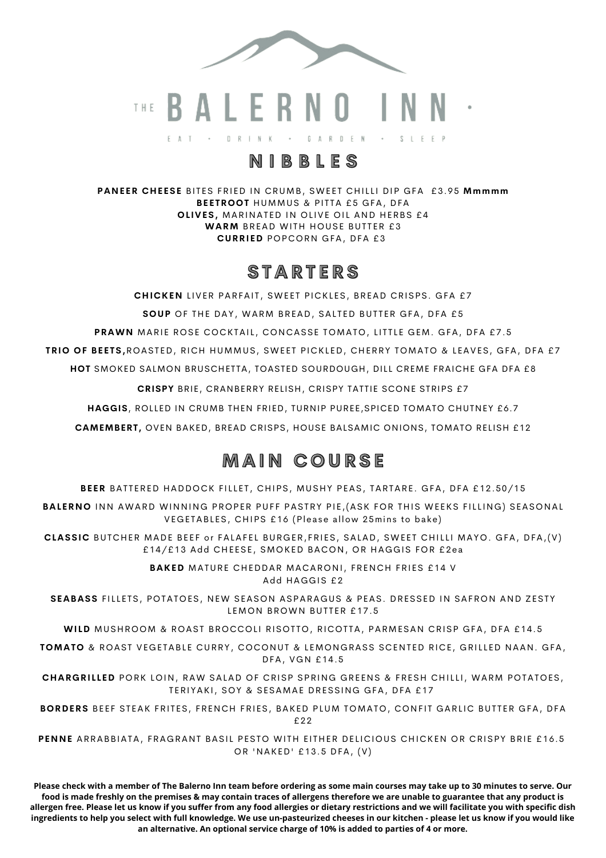

G A R D E N  $S \perp F F P$  $E A T \rightarrow$  $D \quad R \quad I \quad N \quad K$ 

# **N I B B L E S**

**PANEER CHEESE** BITES FRIED IN CRUMB, SWEET CHILLI DIP GFA £3.95 Mmmmm **BEETROOT** HUMMUS & PITTA £5 GFA, DFA **OLIVES, MARINATED IN OLIVE OIL AND HERBS £4 WARM** BREAD WITH HOUSE BUTTER £3 **CURRIED** POPCORN GFA, DFA £3

## **S T A R T E R S**

**CHICKEN** LIVER PARFAIT, SWEET PICKLES, BREAD CRISPS, GFA £7 **SOUP** OF THE DAY, WARM BREAD, SALTED BUTTER GFA, DFA £5 PRAWN MARIE ROSE COCKTAIL, CONCASSE TOMATO, LITTLE GEM. GFA, DFA £7.5 **TRIO OF BEETS,**ROASTED, RICH HUMMUS, SWEET PICKLED, CHERRY TOMATO & LEAVES, GFA, DFA £7 **HOT** SMOKED SALMON BRUSCHETTA, TOASTED SOURDOUGH, DILL CREME FRAICHE GFA DFA £8

**CRISPY** BRIE, CRANBERRY RELISH, CRISPY TATTIE SCONE STRIPS £7

**HAGGIS**, ROLLED IN CRUMB THEN FRIED, TURNIP PUREE,SPICED TOMATO CHUTNEY £6.7

**CAMEMBERT,** OVEN BAKED, BREAD CRISPS, HOUSE BALSAMIC ONIONS, TOMATO RELISH £12

# **M A I N C O U R S E**

BEER BATTERED HADDOCK FILLET, CHIPS, MUSHY PEAS, TARTARE. GFA, DFA £12.50/15

BALERNO INN AWARD WINNING PROPER PUFF PASTRY PIE, (ASK FOR THIS WEEKS FILLING) SEASONAL VEGETABLES, CHIPS £16 (Please allow 25mins to bake)

**CLASSIC** BUTCHER MADE BEEF or FALAFEL BURGER, FRIES, SALAD, SWEET CHILLI MAYO. GFA, DFA, (V) £14/£13 Add CHEESE, SMOKED BACON, OR HAGGIS FOR £2ea

> **BAKED** MATURE CHEDDAR MACARONI, FRENCH FRIES £14 V Add HAGGIS £2

SEABASS FILLETS, POTATOES, NEW SEASON ASPARAGUS & PEAS. DRESSED IN SAFRON AND ZESTY LEMON BROWN BUTTER £17.5

WILD MUSHROOM & ROAST BROCCOLI RISOTTO, RICOTTA, PARMESAN CRISP GFA, DFA £14.5

TOMATO & ROAST VEGETABLE CURRY, COCONUT & LEMONGRASS SCENTED RICE, GRILLED NAAN. GFA, DFA, VGN £14.5

**CHARGRILLED** PORK LOIN, RAW SALAD OF CRISP SPRING GREENS & FRESH CHILLI, WARM POTATOES, TERIYAKI, SOY & SESAMAE DRESSING GFA, DFA £17

BORDERS BEEF STEAK FRITES, FRENCH FRIES, BAKED PLUM TOMATO, CONFIT GARLIC BUTTER GFA, DFA £22

PENNE ARRABBIATA, FRAGRANT BASIL PESTO WITH EITHER DELICIOUS CHICKEN OR CRISPY BRIE £16.5 OR 'NAKED' £13.5 DFA, (V)

**Please check with a member of The Balerno Inn team before ordering as some main courses may take up to 30 minutes to serve. Our food is made freshly on the premises & may contain traces of allergens therefore we are unable to guarantee that any product is allergen free. Please let us know if you suffer from any food allergies or dietary restrictions and we will facilitate you with specific dish ingredients to help you select with full knowledge. We use un-pasteurized cheeses in our kitchen - please let us know if you would like an alternative. An optional service charge of 10% is added to parties of 4 or more.**